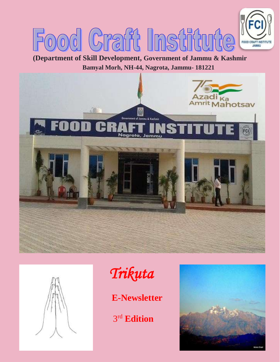# Craft In  $\frac{\Delta}{\Box}$ FOOD CRAFT INSTITUTE

**(Department of Skill Development, Government of Jammu & Kashmir Bamyal Morh, NH-44, Nagrota, Jammu- 181221**





 *Trikuta* 

**E-Newsletter**

3rd **Edition** 

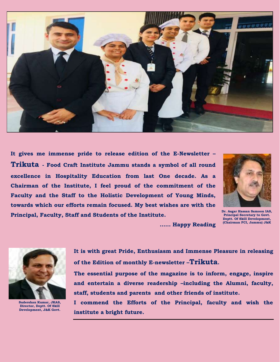

**It gives me immense pride to release edition of the E-Newsletter – Trikuta - Food Craft Institute Jammu stands a symbol of all round excellence in Hospitality Education from last One decade. As a Chairman of the Institute, I feel proud of the commitment of the Faculty and the Staff to the Holistic Development of Young Minds, towards which our efforts remain focused. My best wishes are with the Principal, Faculty, Staff and Students of the Institute.** 



**Dr. Asgar Hassan Samoon IAS, Principal Secretary to Govt. Deptt. Of Skill Development, (Chairman FCI, Jammu) J&K**

**…… Happy Reading**



**Sudershan Kumar, JKAS, Director, Deptt. Of Skill Development, J&K Govt.**

**It is with great Pride, Enthusiasm and Immense Pleasure in releasing of the Edition of monthly E-newsletter –Trikuta.**

**The essential purpose of the magazine is to inform, engage, inspire and entertain a diverse readership –including the Alumni, faculty, staff, students and parents and other friends of institute.**

**I commend the Efforts of the Principal, faculty and wish the institute a bright future.**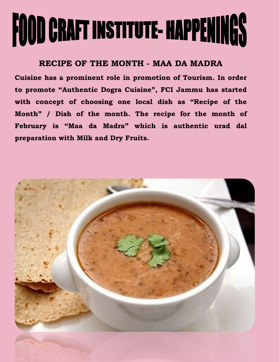# FOOD CRAFT INSTITUTE- HAPPENINGS

#### **RECIPE OF THE MONTH - MAA DA MADRA**

**Cuisine has a prominent role in promotion of Tourism. In order to promote "Authentic Dogra Cuisine", FCI Jammu has started with concept of choosing one local dish as "Recipe of the Month" / Dish of the month. The recipe for the month of February is "Maa da Madra" which is authentic urad dal preparation with Milk and Dry Fruits.**

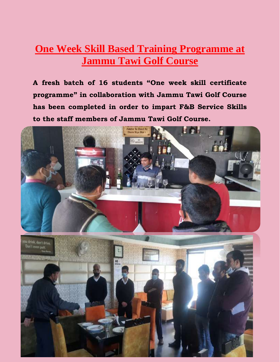## **One Week Skill Based Training Programme at Jammu Tawi Golf Course**

**A fresh batch of 16 students "One week skill certificate programme" in collaboration with Jammu Tawi Golf Course has been completed in order to impart F&B Service Skills to the staff members of Jammu Tawi Golf Course.**

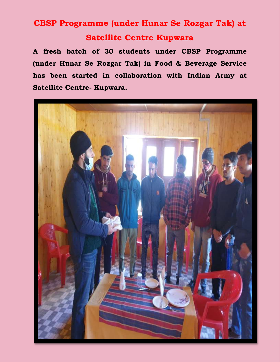## **CBSP Programme (under Hunar Se Rozgar Tak) at Satellite Centre Kupwara**

**A fresh batch of 30 students under CBSP Programme (under Hunar Se Rozgar Tak) in Food & Beverage Service has been started in collaboration with Indian Army at Satellite Centre- Kupwara.**

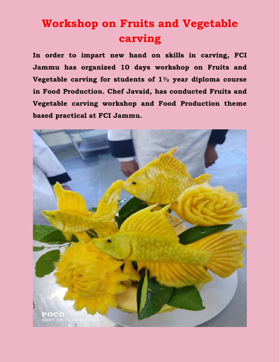# **Workshop on Fruits and Vegetable carving**

**In order to impart new hand on skills in carving, FCI Jammu has organized 10 days workshop on Fruits and Vegetable carving for students of 1½ year diploma course in Food Production. Chef Javaid, has conducted Fruits and Vegetable carving workshop and Food Production theme based practical at FCI Jammu.**

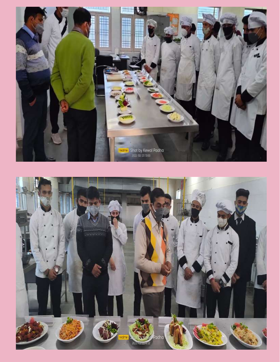

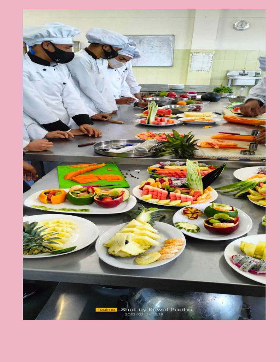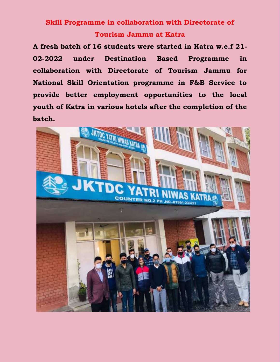#### **Skill Programme in collaboration with Directorate of**

#### **Tourism Jammu at Katra**

**A fresh batch of 16 students were started in Katra w.e.f 21- 02-2022 under Destination Based Programme in collaboration with Directorate of Tourism Jammu for National Skill Orientation programme in F&B Service to provide better employment opportunities to the local youth of Katra in various hotels after the completion of the batch.**

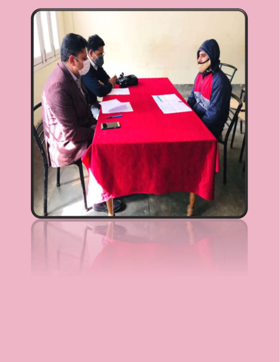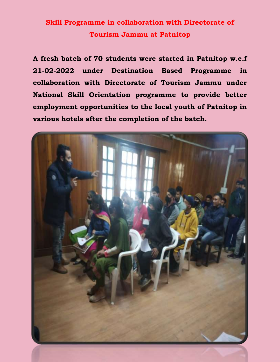### **Skill Programme in collaboration with Directorate of Tourism Jammu at Patnitop**

**A fresh batch of 70 students were started in Patnitop w.e.f 21-02-2022 under Destination Based Programme in collaboration with Directorate of Tourism Jammu under National Skill Orientation programme to provide better employment opportunities to the local youth of Patnitop in various hotels after the completion of the batch.**